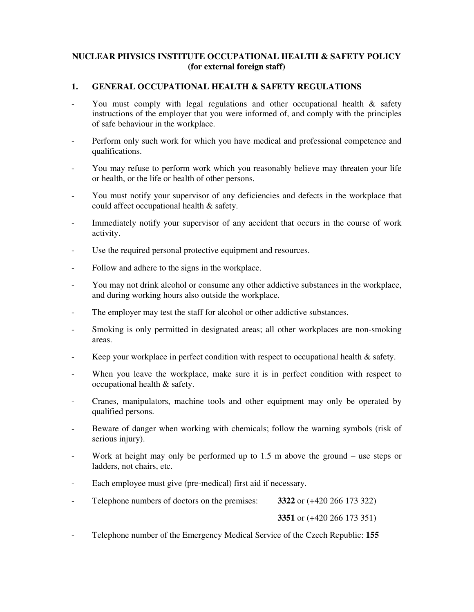### **NUCLEAR PHYSICS INSTITUTE OCCUPATIONAL HEALTH & SAFETY POLICY (for external foreign staff)**

# **1. GENERAL OCCUPATIONAL HEALTH & SAFETY REGULATIONS**

- You must comply with legal regulations and other occupational health & safety instructions of the employer that you were informed of, and comply with the principles of safe behaviour in the workplace.
- Perform only such work for which you have medical and professional competence and qualifications.
- You may refuse to perform work which you reasonably believe may threaten your life or health, or the life or health of other persons.
- You must notify your supervisor of any deficiencies and defects in the workplace that could affect occupational health & safety.
- Immediately notify your supervisor of any accident that occurs in the course of work activity.
- Use the required personal protective equipment and resources.
- Follow and adhere to the signs in the workplace.
- You may not drink alcohol or consume any other addictive substances in the workplace, and during working hours also outside the workplace.
- The employer may test the staff for alcohol or other addictive substances.
- Smoking is only permitted in designated areas; all other workplaces are non-smoking areas.
- Keep your workplace in perfect condition with respect to occupational health & safety.
- When you leave the workplace, make sure it is in perfect condition with respect to occupational health & safety.
- Cranes, manipulators, machine tools and other equipment may only be operated by qualified persons.
- Beware of danger when working with chemicals; follow the warning symbols (risk of serious injury).
- Work at height may only be performed up to  $1.5$  m above the ground use steps or ladders, not chairs, etc.
- Each employee must give (pre-medical) first aid if necessary.
- Telephone numbers of doctors on the premises: **3322** or (+420 266 173 322)

**3351** or (+420 266 173 351)

- Telephone number of the Emergency Medical Service of the Czech Republic: **155**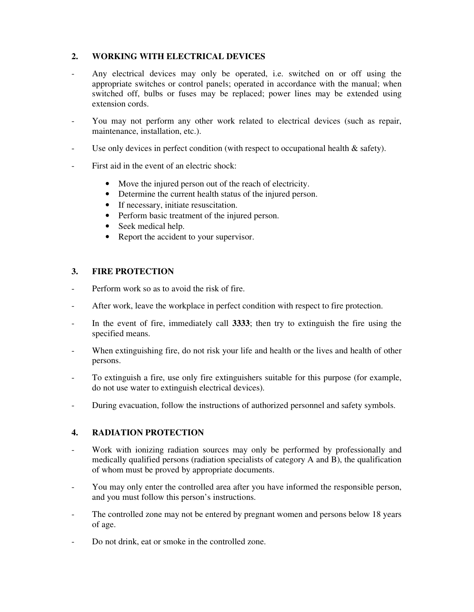### **2. WORKING WITH ELECTRICAL DEVICES**

- Any electrical devices may only be operated, i.e. switched on or off using the appropriate switches or control panels; operated in accordance with the manual; when switched off, bulbs or fuses may be replaced; power lines may be extended using extension cords.
- You may not perform any other work related to electrical devices (such as repair, maintenance, installation, etc.).
- Use only devices in perfect condition (with respect to occupational health  $\&$  safety).
- First aid in the event of an electric shock:
	- Move the injured person out of the reach of electricity.
	- Determine the current health status of the injured person.
	- If necessary, initiate resuscitation.
	- Perform basic treatment of the injured person.
	- Seek medical help.
	- Report the accident to your supervisor.

#### **3. FIRE PROTECTION**

- Perform work so as to avoid the risk of fire.
- After work, leave the workplace in perfect condition with respect to fire protection.
- In the event of fire, immediately call **3333**; then try to extinguish the fire using the specified means.
- When extinguishing fire, do not risk your life and health or the lives and health of other persons.
- To extinguish a fire, use only fire extinguishers suitable for this purpose (for example, do not use water to extinguish electrical devices).
- During evacuation, follow the instructions of authorized personnel and safety symbols.

# **4. RADIATION PROTECTION**

- Work with ionizing radiation sources may only be performed by professionally and medically qualified persons (radiation specialists of category A and B), the qualification of whom must be proved by appropriate documents.
- You may only enter the controlled area after you have informed the responsible person, and you must follow this person's instructions.
- The controlled zone may not be entered by pregnant women and persons below 18 years of age.
- Do not drink, eat or smoke in the controlled zone.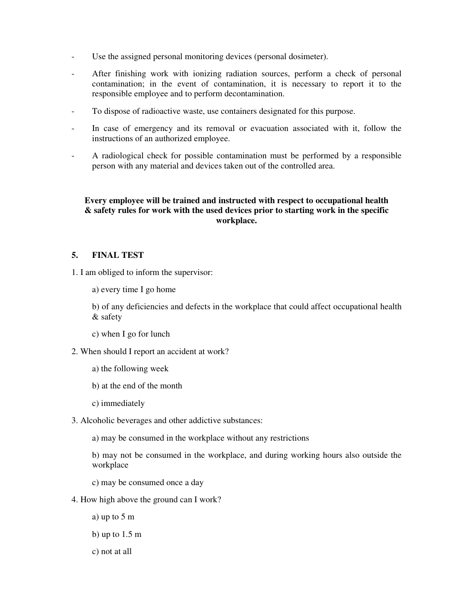- Use the assigned personal monitoring devices (personal dosimeter).
- After finishing work with ionizing radiation sources, perform a check of personal contamination; in the event of contamination, it is necessary to report it to the responsible employee and to perform decontamination.
- To dispose of radioactive waste, use containers designated for this purpose.
- In case of emergency and its removal or evacuation associated with it, follow the instructions of an authorized employee.
- A radiological check for possible contamination must be performed by a responsible person with any material and devices taken out of the controlled area.

#### **Every employee will be trained and instructed with respect to occupational health & safety rules for work with the used devices prior to starting work in the specific workplace.**

# **5. FINAL TEST**

- 1. I am obliged to inform the supervisor:
	- a) every time I go home

 b) of any deficiencies and defects in the workplace that could affect occupational health & safety

- c) when I go for lunch
- 2. When should I report an accident at work?
	- a) the following week
	- b) at the end of the month
	- c) immediately
- 3. Alcoholic beverages and other addictive substances:
	- a) may be consumed in the workplace without any restrictions
	- b) may not be consumed in the workplace, and during working hours also outside the workplace
	- c) may be consumed once a day
- 4. How high above the ground can I work?
	- a) up to 5 m
	- b) up to 1.5 m
	- c) not at all